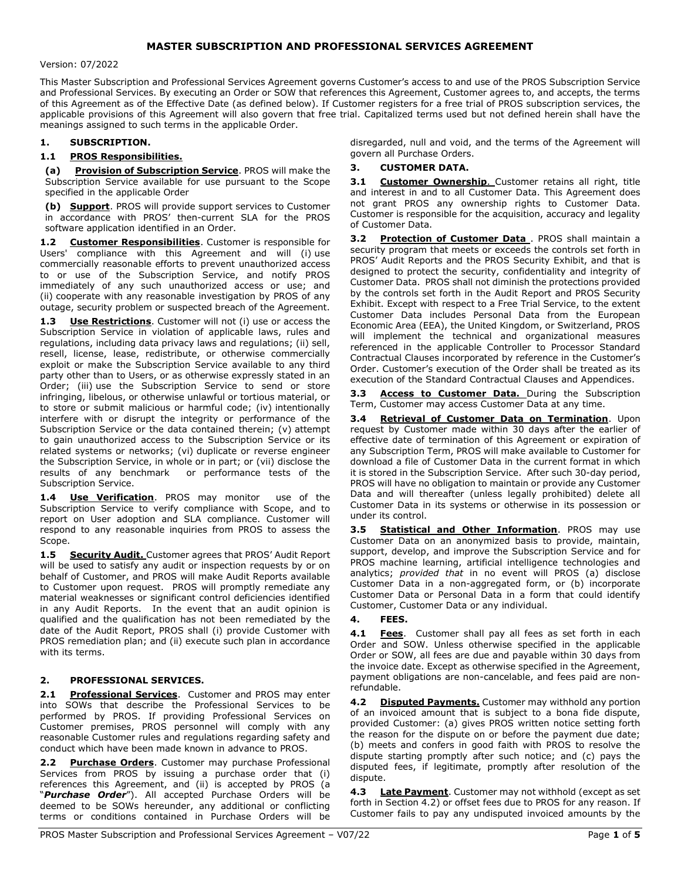# MASTER SUBSCRIPTION AND PROFESSIONAL SERVICES AGREEMENT

Version: 07/2022

This Master Subscription and Professional Services Agreement governs Customer's access to and use of the PROS Subscription Service and Professional Services. By executing an Order or SOW that references this Agreement, Customer agrees to, and accepts, the terms of this Agreement as of the Effective Date (as defined below). If Customer registers for a free trial of PROS subscription services, the applicable provisions of this Agreement will also govern that free trial. Capitalized terms used but not defined herein shall have the meanings assigned to such terms in the applicable Order.

### 1. SUBSCRIPTION.

### 1.1 PROS Responsibilities.

(a) Provision of Subscription Service. PROS will make the Subscription Service available for use pursuant to the Scope specified in the applicable Order

(b) Support. PROS will provide support services to Customer in accordance with PROS' then-current SLA for the PROS software application identified in an Order.

1.2 Customer Responsibilities. Customer is responsible for Users' compliance with this Agreement and will (i) use commercially reasonable efforts to prevent unauthorized access to or use of the Subscription Service, and notify PROS immediately of any such unauthorized access or use; and (ii) cooperate with any reasonable investigation by PROS of any outage, security problem or suspected breach of the Agreement.

1.3 Use Restrictions. Customer will not (i) use or access the Subscription Service in violation of applicable laws, rules and regulations, including data privacy laws and regulations; (ii) sell, resell, license, lease, redistribute, or otherwise commercially exploit or make the Subscription Service available to any third party other than to Users, or as otherwise expressly stated in an Order; (iii) use the Subscription Service to send or store infringing, libelous, or otherwise unlawful or tortious material, or to store or submit malicious or harmful code; (iv) intentionally interfere with or disrupt the integrity or performance of the Subscription Service or the data contained therein; (v) attempt to gain unauthorized access to the Subscription Service or its related systems or networks; (vi) duplicate or reverse engineer the Subscription Service, in whole or in part; or (vii) disclose the results of any benchmark or performance tests of the Subscription Service.

1.4 Use Verification. PROS may monitor use of the Subscription Service to verify compliance with Scope, and to report on User adoption and SLA compliance. Customer will respond to any reasonable inquiries from PROS to assess the Scope.

1.5 Security Audit. Customer agrees that PROS' Audit Report will be used to satisfy any audit or inspection requests by or on behalf of Customer, and PROS will make Audit Reports available to Customer upon request. PROS will promptly remediate any material weaknesses or significant control deficiencies identified in any Audit Reports. In the event that an audit opinion is qualified and the qualification has not been remediated by the date of the Audit Report, PROS shall (i) provide Customer with PROS remediation plan; and (ii) execute such plan in accordance with its terms.

## 2. PROFESSIONAL SERVICES.

2.1 Professional Services. Customer and PROS may enter into SOWs that describe the Professional Services to be performed by PROS. If providing Professional Services on Customer premises, PROS personnel will comply with any reasonable Customer rules and regulations regarding safety and conduct which have been made known in advance to PROS.

2.2 Purchase Orders. Customer may purchase Professional Services from PROS by issuing a purchase order that (i) references this Agreement, and (ii) is accepted by PROS (a "Purchase Order"). All accepted Purchase Orders will be deemed to be SOWs hereunder, any additional or conflicting terms or conditions contained in Purchase Orders will be

disregarded, null and void, and the terms of the Agreement will govern all Purchase Orders.

### 3. CUSTOMER DATA.

3.1 Customer Ownership. Customer retains all right, title and interest in and to all Customer Data. This Agreement does not grant PROS any ownership rights to Customer Data. Customer is responsible for the acquisition, accuracy and legality of Customer Data.

3.2 Protection of Customer Data . PROS shall maintain a security program that meets or exceeds the controls set forth in PROS' Audit Reports and the PROS Security Exhibit, and that is designed to protect the security, confidentiality and integrity of Customer Data. PROS shall not diminish the protections provided by the controls set forth in the Audit Report and PROS Security Exhibit. Except with respect to a Free Trial Service, to the extent Customer Data includes Personal Data from the European Economic Area (EEA), the United Kingdom, or Switzerland, PROS will implement the technical and organizational measures referenced in the applicable Controller to Processor Standard Contractual Clauses incorporated by reference in the Customer's Order. Customer's execution of the Order shall be treated as its execution of the Standard Contractual Clauses and Appendices.

3.3 Access to Customer Data. During the Subscription Term, Customer may access Customer Data at any time.

3.4 Retrieval of Customer Data on Termination. Upon request by Customer made within 30 days after the earlier of effective date of termination of this Agreement or expiration of any Subscription Term, PROS will make available to Customer for download a file of Customer Data in the current format in which it is stored in the Subscription Service. After such 30-day period, PROS will have no obligation to maintain or provide any Customer Data and will thereafter (unless legally prohibited) delete all Customer Data in its systems or otherwise in its possession or under its control.

3.5 **Statistical and Other Information**. PROS may use Customer Data on an anonymized basis to provide, maintain, support, develop, and improve the Subscription Service and for PROS machine learning, artificial intelligence technologies and analytics; provided that in no event will PROS (a) disclose Customer Data in a non-aggregated form, or (b) incorporate Customer Data or Personal Data in a form that could identify Customer, Customer Data or any individual.

#### 4. FEES.

4.1 Fees. Customer shall pay all fees as set forth in each Order and SOW. Unless otherwise specified in the applicable Order or SOW, all fees are due and payable within 30 days from the invoice date. Except as otherwise specified in the Agreement, payment obligations are non-cancelable, and fees paid are nonrefundable.

4.2 Disputed Payments. Customer may withhold any portion of an invoiced amount that is subject to a bona fide dispute, provided Customer: (a) gives PROS written notice setting forth the reason for the dispute on or before the payment due date; (b) meets and confers in good faith with PROS to resolve the dispute starting promptly after such notice; and (c) pays the disputed fees, if legitimate, promptly after resolution of the dispute.

4.3 Late Payment. Customer may not withhold (except as set forth in Section 4.2) or offset fees due to PROS for any reason. If Customer fails to pay any undisputed invoiced amounts by the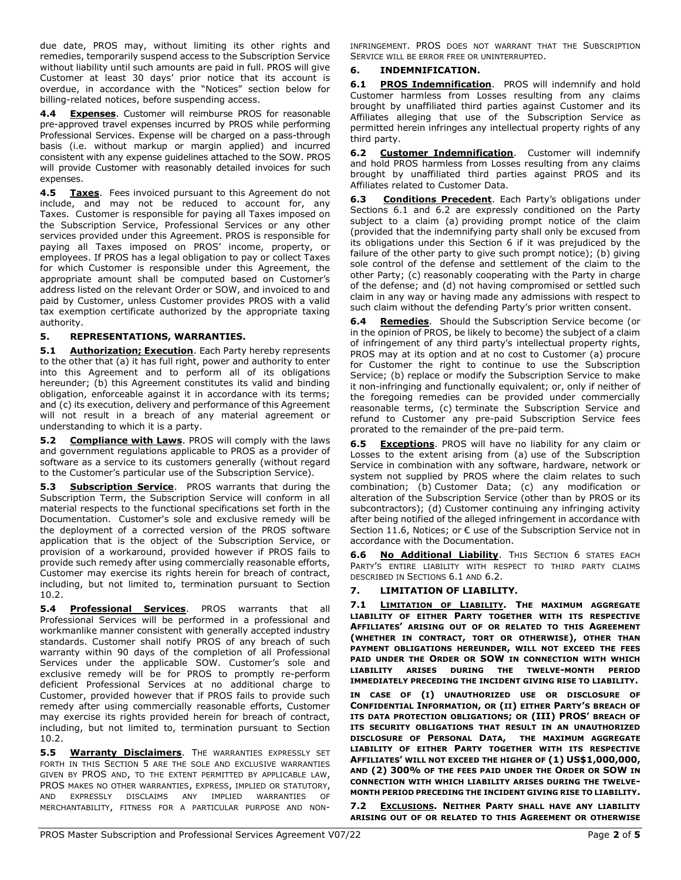due date, PROS may, without limiting its other rights and remedies, temporarily suspend access to the Subscription Service without liability until such amounts are paid in full. PROS will give Customer at least 30 days' prior notice that its account is overdue, in accordance with the "Notices" section below for billing-related notices, before suspending access.

4.4 Expenses. Customer will reimburse PROS for reasonable pre-approved travel expenses incurred by PROS while performing Professional Services. Expense will be charged on a pass-through basis (i.e. without markup or margin applied) and incurred consistent with any expense guidelines attached to the SOW. PROS will provide Customer with reasonably detailed invoices for such expenses.

4.5 Taxes. Fees invoiced pursuant to this Agreement do not include, and may not be reduced to account for, any Taxes. Customer is responsible for paying all Taxes imposed on the Subscription Service, Professional Services or any other services provided under this Agreement. PROS is responsible for paying all Taxes imposed on PROS' income, property, or employees. If PROS has a legal obligation to pay or collect Taxes for which Customer is responsible under this Agreement, the appropriate amount shall be computed based on Customer's address listed on the relevant Order or SOW, and invoiced to and paid by Customer, unless Customer provides PROS with a valid tax exemption certificate authorized by the appropriate taxing authority.

# 5. REPRESENTATIONS, WARRANTIES.

5.1 Authorization; Execution. Each Party hereby represents to the other that (a) it has full right, power and authority to enter into this Agreement and to perform all of its obligations hereunder; (b) this Agreement constitutes its valid and binding obligation, enforceable against it in accordance with its terms; and (c) its execution, delivery and performance of this Agreement will not result in a breach of any material agreement or understanding to which it is a party.

5.2 Compliance with Laws. PROS will comply with the laws and government regulations applicable to PROS as a provider of software as a service to its customers generally (without regard to the Customer's particular use of the Subscription Service).

5.3 Subscription Service. PROS warrants that during the Subscription Term, the Subscription Service will conform in all material respects to the functional specifications set forth in the Documentation. Customer's sole and exclusive remedy will be the deployment of a corrected version of the PROS software application that is the object of the Subscription Service, or provision of a workaround, provided however if PROS fails to provide such remedy after using commercially reasonable efforts, Customer may exercise its rights herein for breach of contract, including, but not limited to, termination pursuant to Section 10.2.

5.4 Professional Services. PROS warrants that all Professional Services will be performed in a professional and workmanlike manner consistent with generally accepted industry standards. Customer shall notify PROS of any breach of such warranty within 90 days of the completion of all Professional Services under the applicable SOW. Customer's sole and exclusive remedy will be for PROS to promptly re-perform deficient Professional Services at no additional charge to Customer, provided however that if PROS fails to provide such remedy after using commercially reasonable efforts, Customer may exercise its rights provided herein for breach of contract, including, but not limited to, termination pursuant to Section 10.2.

5.5 Warranty Disclaimers. THE WARRANTIES EXPRESSLY SET FORTH IN THIS SECTION 5 ARE THE SOLE AND EXCLUSIVE WARRANTIES GIVEN BY PROS AND, TO THE EXTENT PERMITTED BY APPLICABLE LAW, PROS MAKES NO OTHER WARRANTIES, EXPRESS, IMPLIED OR STATUTORY, AND EXPRESSLY DISCLAIMS ANY IMPLIED WARRANTIES OF MERCHANTABILITY, FITNESS FOR A PARTICULAR PURPOSE AND NON- INFRINGEMENT. PROS DOES NOT WARRANT THAT THE SUBSCRIPTION SERVICE WILL BE ERROR FREE OR UNINTERRUPTED.

# 6. INDEMNIFICATION.

6.1 PROS Indemnification. PROS will indemnify and hold Customer harmless from Losses resulting from any claims brought by unaffiliated third parties against Customer and its Affiliates alleging that use of the Subscription Service as permitted herein infringes any intellectual property rights of any third party.

6.2 Customer Indemnification. Customer will indemnify and hold PROS harmless from Losses resulting from any claims brought by unaffiliated third parties against PROS and its Affiliates related to Customer Data.

Conditions Precedent. Each Party's obligations under Sections 6.1 and 6.2 are expressly conditioned on the Party subject to a claim (a) providing prompt notice of the claim (provided that the indemnifying party shall only be excused from its obligations under this Section 6 if it was prejudiced by the failure of the other party to give such prompt notice); (b) giving sole control of the defense and settlement of the claim to the other Party; (c) reasonably cooperating with the Party in charge of the defense; and (d) not having compromised or settled such claim in any way or having made any admissions with respect to such claim without the defending Party's prior written consent.

6.4 Remedies. Should the Subscription Service become (or in the opinion of PROS, be likely to become) the subject of a claim of infringement of any third party's intellectual property rights, PROS may at its option and at no cost to Customer (a) procure for Customer the right to continue to use the Subscription Service; (b) replace or modify the Subscription Service to make it non-infringing and functionally equivalent; or, only if neither of the foregoing remedies can be provided under commercially reasonable terms, (c) terminate the Subscription Service and refund to Customer any pre-paid Subscription Service fees prorated to the remainder of the pre-paid term.

**6.5 Exceptions.** PROS will have no liability for any claim or Losses to the extent arising from (a) use of the Subscription Service in combination with any software, hardware, network or system not supplied by PROS where the claim relates to such combination; (b) Customer Data; (c) any modification or alteration of the Subscription Service (other than by PROS or its subcontractors); (d) Customer continuing any infringing activity after being notified of the alleged infringement in accordance with Section 11.6, Notices; or € use of the Subscription Service not in accordance with the Documentation.

6.6 No Additional Liability. THIS SECTION 6 STATES EACH PARTY'S ENTIRE LIABILITY WITH RESPECT TO THIRD PARTY CLAIMS DESCRIBED IN SECTIONS 6.1 AND 6.2.

# 7. LIMITATION OF LIABILITY.

7.1 **LIMITATION OF LIABILITY. THE MAXIMUM AGGREGATE** LIABILITY OF EITHER PARTY TOGETHER WITH ITS RESPECTIVE AFFILIATES' ARISING OUT OF OR RELATED TO THIS AGREEMENT (WHETHER IN CONTRACT, TORT OR OTHERWISE), OTHER THAN PAYMENT OBLIGATIONS HEREUNDER, WILL NOT EXCEED THE FEES PAID UNDER THE ORDER OR SOW IN CONNECTION WITH WHICH LIABILITY ARISES DURING THE TWELVE-MONTH PERIOD IMMEDIATELY PRECEDING THE INCIDENT GIVING RISE TO LIABILITY.

IN CASE OF (I) UNAUTHORIZED USE OR DISCLOSURE OF CONFIDENTIAL INFORMATION, OR (II) EITHER PARTY'S BREACH OF ITS DATA PROTECTION OBLIGATIONS; OR (III) PROS' BREACH OF ITS SECURITY OBLIGATIONS THAT RESULT IN AN UNAUTHORIZED DISCLOSURE OF PERSONAL DATA, THE MAXIMUM AGGREGATE LIABILITY OF EITHER PARTY TOGETHER WITH ITS RESPECTIVE AFFILIATES' WILL NOT EXCEED THE HIGHER OF (1) US\$1,000,000, AND (2) 300% OF THE FEES PAID UNDER THE ORDER OR SOW IN CONNECTION WITH WHICH LIABILITY ARISES DURING THE TWELVE-MONTH PERIOD PRECEDING THE INCIDENT GIVING RISE TO LIABILITY.

7.2 EXCLUSIONS. NEITHER PARTY SHALL HAVE ANY LIABILITY ARISING OUT OF OR RELATED TO THIS AGREEMENT OR OTHERWISE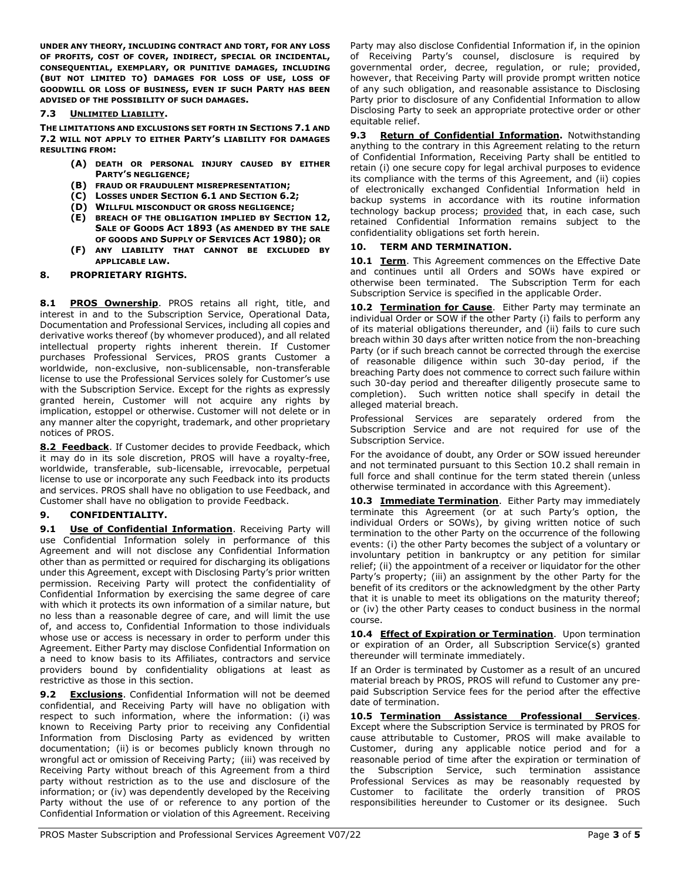UNDER ANY THEORY, INCLUDING CONTRACT AND TORT, FOR ANY LOSS OF PROFITS, COST OF COVER, INDIRECT, SPECIAL OR INCIDENTAL, CONSEQUENTIAL, EXEMPLARY, OR PUNITIVE DAMAGES, INCLUDING (BUT NOT LIMITED TO) DAMAGES FOR LOSS OF USE, LOSS OF GOODWILL OR LOSS OF BUSINESS, EVEN IF SUCH PARTY HAS BEEN ADVISED OF THE POSSIBILITY OF SUCH DAMAGES.

### 7.3 UNLIMITED LIABILITY.

THE LIMITATIONS AND EXCLUSIONS SET FORTH IN SECTIONS 7.1 AND 7.2 WILL NOT APPLY TO EITHER PARTY'S LIABILITY FOR DAMAGES RESULTING FROM:

- (A) DEATH OR PERSONAL INJURY CAUSED BY EITHER PARTY'S NEGLIGENCE;
- (B) FRAUD OR FRAUDULENT MISREPRESENTATION;
- (C) LOSSES UNDER SECTION 6.1 AND SECTION 6.2;
- (D) WILLFUL MISCONDUCT OR GROSS NEGLIGENCE;
- (E) BREACH OF THE OBLIGATION IMPLIED BY SECTION 12, SALE OF GOODS ACT 1893 (AS AMENDED BY THE SALE OF GOODS AND SUPPLY OF SERVICES ACT 1980); OR
- (F) ANY LIABILITY THAT CANNOT BE EXCLUDED BY APPLICABLE LAW.

### 8. PROPRIETARY RIGHTS.

8.1 PROS Ownership. PROS retains all right, title, and interest in and to the Subscription Service, Operational Data, Documentation and Professional Services, including all copies and derivative works thereof (by whomever produced), and all related intellectual property rights inherent therein. If Customer purchases Professional Services, PROS grants Customer a worldwide, non-exclusive, non-sublicensable, non-transferable license to use the Professional Services solely for Customer's use with the Subscription Service. Except for the rights as expressly granted herein, Customer will not acquire any rights by implication, estoppel or otherwise. Customer will not delete or in any manner alter the copyright, trademark, and other proprietary notices of PROS.

8.2 Feedback. If Customer decides to provide Feedback, which it may do in its sole discretion, PROS will have a royalty-free, worldwide, transferable, sub-licensable, irrevocable, perpetual license to use or incorporate any such Feedback into its products and services. PROS shall have no obligation to use Feedback, and Customer shall have no obligation to provide Feedback.

## 9. CONFIDENTIALITY.

9.1 Use of Confidential Information. Receiving Party will use Confidential Information solely in performance of this Agreement and will not disclose any Confidential Information other than as permitted or required for discharging its obligations under this Agreement, except with Disclosing Party's prior written permission. Receiving Party will protect the confidentiality of Confidential Information by exercising the same degree of care with which it protects its own information of a similar nature, but no less than a reasonable degree of care, and will limit the use of, and access to, Confidential Information to those individuals whose use or access is necessary in order to perform under this Agreement. Either Party may disclose Confidential Information on a need to know basis to its Affiliates, contractors and service providers bound by confidentiality obligations at least as restrictive as those in this section.

**Exclusions**. Confidential Information will not be deemed confidential, and Receiving Party will have no obligation with respect to such information, where the information: (i) was known to Receiving Party prior to receiving any Confidential Information from Disclosing Party as evidenced by written documentation; (ii) is or becomes publicly known through no wrongful act or omission of Receiving Party; (iii) was received by Receiving Party without breach of this Agreement from a third party without restriction as to the use and disclosure of the information; or (iv) was dependently developed by the Receiving Party without the use of or reference to any portion of the Confidential Information or violation of this Agreement. Receiving

Party may also disclose Confidential Information if, in the opinion of Receiving Party's counsel, disclosure is required by governmental order, decree, regulation, or rule; provided, however, that Receiving Party will provide prompt written notice of any such obligation, and reasonable assistance to Disclosing Party prior to disclosure of any Confidential Information to allow Disclosing Party to seek an appropriate protective order or other equitable relief.

9.3 Return of Confidential Information. Notwithstanding anything to the contrary in this Agreement relating to the return of Confidential Information, Receiving Party shall be entitled to retain (i) one secure copy for legal archival purposes to evidence its compliance with the terms of this Agreement, and (ii) copies of electronically exchanged Confidential Information held in backup systems in accordance with its routine information technology backup process; provided that, in each case, such retained Confidential Information remains subject to the confidentiality obligations set forth herein.

### 10. TERM AND TERMINATION.

10.1 Term. This Agreement commences on the Effective Date and continues until all Orders and SOWs have expired or otherwise been terminated. The Subscription Term for each Subscription Service is specified in the applicable Order.

10.2 Termination for Cause. Either Party may terminate an individual Order or SOW if the other Party (i) fails to perform any of its material obligations thereunder, and (ii) fails to cure such breach within 30 days after written notice from the non-breaching Party (or if such breach cannot be corrected through the exercise of reasonable diligence within such 30-day period, if the breaching Party does not commence to correct such failure within such 30-day period and thereafter diligently prosecute same to completion). Such written notice shall specify in detail the alleged material breach.

Professional Services are separately ordered from the Subscription Service and are not required for use of the Subscription Service.

For the avoidance of doubt, any Order or SOW issued hereunder and not terminated pursuant to this Section 10.2 shall remain in full force and shall continue for the term stated therein (unless otherwise terminated in accordance with this Agreement).

10.3 **Immediate Termination**. Either Party may immediately terminate this Agreement (or at such Party's option, the individual Orders or SOWs), by giving written notice of such termination to the other Party on the occurrence of the following events: (i) the other Party becomes the subject of a voluntary or involuntary petition in bankruptcy or any petition for similar relief; (ii) the appointment of a receiver or liquidator for the other Party's property; (iii) an assignment by the other Party for the benefit of its creditors or the acknowledgment by the other Party that it is unable to meet its obligations on the maturity thereof; or (iv) the other Party ceases to conduct business in the normal course.

10.4 **Effect of Expiration or Termination**. Upon termination or expiration of an Order, all Subscription Service(s) granted thereunder will terminate immediately.

If an Order is terminated by Customer as a result of an uncured material breach by PROS, PROS will refund to Customer any prepaid Subscription Service fees for the period after the effective date of termination.

10.5 Termination Assistance Professional Services. Except where the Subscription Service is terminated by PROS for cause attributable to Customer, PROS will make available to Customer, during any applicable notice period and for a reasonable period of time after the expiration or termination of the Subscription Service, such termination assistance Professional Services as may be reasonably requested by Customer to facilitate the orderly transition of PROS responsibilities hereunder to Customer or its designee. Such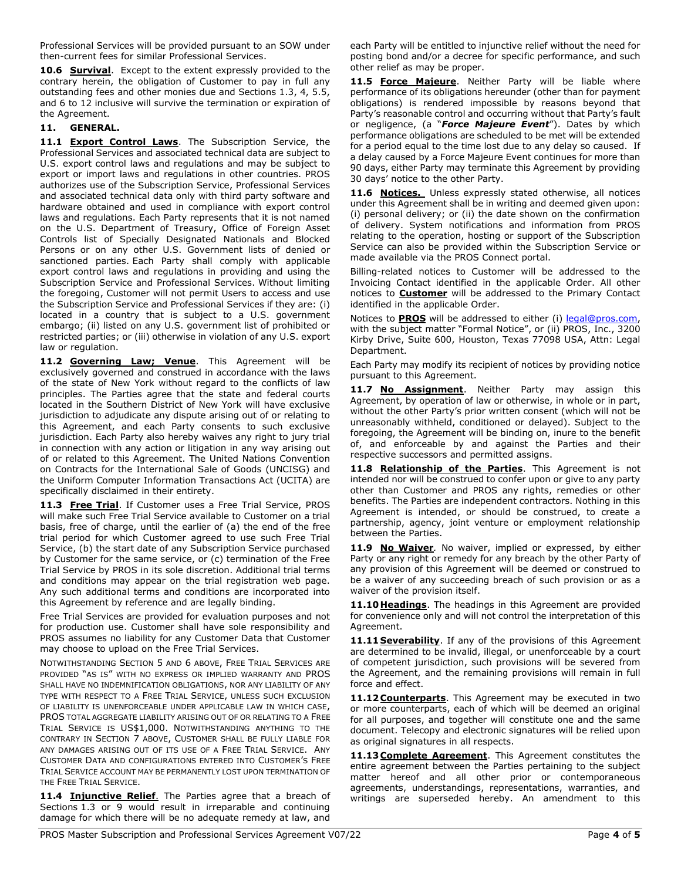Professional Services will be provided pursuant to an SOW under then-current fees for similar Professional Services.

10.6 **Survival**. Except to the extent expressly provided to the contrary herein, the obligation of Customer to pay in full any outstanding fees and other monies due and Sections 1.3, 4, 5.5, and 6 to 12 inclusive will survive the termination or expiration of the Agreement.

# 11. GENERAL.

11.1 Export Control Laws. The Subscription Service, the Professional Services and associated technical data are subject to U.S. export control laws and regulations and may be subject to export or import laws and regulations in other countries. PROS authorizes use of the Subscription Service, Professional Services and associated technical data only with third party software and hardware obtained and used in compliance with export control laws and regulations. Each Party represents that it is not named on the U.S. Department of Treasury, Office of Foreign Asset Controls list of Specially Designated Nationals and Blocked Persons or on any other U.S. Government lists of denied or sanctioned parties. Each Party shall comply with applicable export control laws and regulations in providing and using the Subscription Service and Professional Services. Without limiting the foregoing, Customer will not permit Users to access and use the Subscription Service and Professional Services if they are: (i) located in a country that is subject to a U.S. government embargo; (ii) listed on any U.S. government list of prohibited or restricted parties; or (iii) otherwise in violation of any U.S. export law or regulation.

11.2 Governing Law; Venue. This Agreement will be exclusively governed and construed in accordance with the laws of the state of New York without regard to the conflicts of law principles. The Parties agree that the state and federal courts located in the Southern District of New York will have exclusive jurisdiction to adjudicate any dispute arising out of or relating to this Agreement, and each Party consents to such exclusive jurisdiction. Each Party also hereby waives any right to jury trial in connection with any action or litigation in any way arising out of or related to this Agreement. The United Nations Convention on Contracts for the International Sale of Goods (UNCISG) and the Uniform Computer Information Transactions Act (UCITA) are specifically disclaimed in their entirety.

11.3 Free Trial. If Customer uses a Free Trial Service, PROS will make such Free Trial Service available to Customer on a trial basis, free of charge, until the earlier of (a) the end of the free trial period for which Customer agreed to use such Free Trial Service, (b) the start date of any Subscription Service purchased by Customer for the same service, or (c) termination of the Free Trial Service by PROS in its sole discretion. Additional trial terms and conditions may appear on the trial registration web page. Any such additional terms and conditions are incorporated into this Agreement by reference and are legally binding.

Free Trial Services are provided for evaluation purposes and not for production use. Customer shall have sole responsibility and PROS assumes no liability for any Customer Data that Customer may choose to upload on the Free Trial Services.

NOTWITHSTANDING SECTION 5 AND 6 ABOVE, FREE TRIAL SERVICES ARE PROVIDED "AS IS" WITH NO EXPRESS OR IMPLIED WARRANTY AND PROS SHALL HAVE NO INDEMNIFICATION OBLIGATIONS, NOR ANY LIABILITY OF ANY TYPE WITH RESPECT TO A FREE TRIAL SERVICE, UNLESS SUCH EXCLUSION OF LIABILITY IS UNENFORCEABLE UNDER APPLICABLE LAW IN WHICH CASE, PROS TOTAL AGGREGATE LIABILITY ARISING OUT OF OR RELATING TO A FREE TRIAL SERVICE IS US\$1,000. NOTWITHSTANDING ANYTHING TO THE CONTRARY IN SECTION 7 ABOVE, CUSTOMER SHALL BE FULLY LIABLE FOR ANY DAMAGES ARISING OUT OF ITS USE OF A FREE TRIAL SERVICE. ANY CUSTOMER DATA AND CONFIGURATIONS ENTERED INTO CUSTOMER'S FREE TRIAL SERVICE ACCOUNT MAY BE PERMANENTLY LOST UPON TERMINATION OF THE FREE TRIAL SERVICE.

11.4 Injunctive Relief. The Parties agree that a breach of Sections 1.3 or 9 would result in irreparable and continuing damage for which there will be no adequate remedy at law, and

each Party will be entitled to injunctive relief without the need for posting bond and/or a decree for specific performance, and such other relief as may be proper.

11.5 Force Majeure. Neither Party will be liable where performance of its obligations hereunder (other than for payment obligations) is rendered impossible by reasons beyond that Party's reasonable control and occurring without that Party's fault or negligence, (a "Force Majeure Event"). Dates by which performance obligations are scheduled to be met will be extended for a period equal to the time lost due to any delay so caused. If a delay caused by a Force Majeure Event continues for more than 90 days, either Party may terminate this Agreement by providing 30 days' notice to the other Party.

11.6 Notices. Unless expressly stated otherwise, all notices under this Agreement shall be in writing and deemed given upon: (i) personal delivery; or (ii) the date shown on the confirmation of delivery. System notifications and information from PROS relating to the operation, hosting or support of the Subscription Service can also be provided within the Subscription Service or made available via the PROS Connect portal.

Billing-related notices to Customer will be addressed to the Invoicing Contact identified in the applicable Order. All other notices to **Customer** will be addressed to the Primary Contact identified in the applicable Order.

Notices to **PROS** will be addressed to either (i) legal@pros.com, with the subject matter "Formal Notice", or (ii) PROS, Inc., 3200 Kirby Drive, Suite 600, Houston, Texas 77098 USA, Attn: Legal Department.

Each Party may modify its recipient of notices by providing notice pursuant to this Agreement.

11.7 No Assignment. Neither Party may assign this Agreement, by operation of law or otherwise, in whole or in part, without the other Party's prior written consent (which will not be unreasonably withheld, conditioned or delayed). Subject to the foregoing, the Agreement will be binding on, inure to the benefit of, and enforceable by and against the Parties and their respective successors and permitted assigns.

11.8 Relationship of the Parties. This Agreement is not intended nor will be construed to confer upon or give to any party other than Customer and PROS any rights, remedies or other benefits. The Parties are independent contractors. Nothing in this Agreement is intended, or should be construed, to create a partnership, agency, joint venture or employment relationship between the Parties.

11.9 No Waiver. No waiver, implied or expressed, by either Party or any right or remedy for any breach by the other Party of any provision of this Agreement will be deemed or construed to be a waiver of any succeeding breach of such provision or as a waiver of the provision itself.

11.10 Headings. The headings in this Agreement are provided for convenience only and will not control the interpretation of this Agreement.

11.11 Severability. If any of the provisions of this Agreement are determined to be invalid, illegal, or unenforceable by a court of competent jurisdiction, such provisions will be severed from the Agreement, and the remaining provisions will remain in full force and effect.

11.12 Counterparts. This Agreement may be executed in two or more counterparts, each of which will be deemed an original for all purposes, and together will constitute one and the same document. Telecopy and electronic signatures will be relied upon as original signatures in all respects.

11.13 Complete Agreement. This Agreement constitutes the entire agreement between the Parties pertaining to the subject matter hereof and all other prior or contemporaneous agreements, understandings, representations, warranties, and writings are superseded hereby. An amendment to this